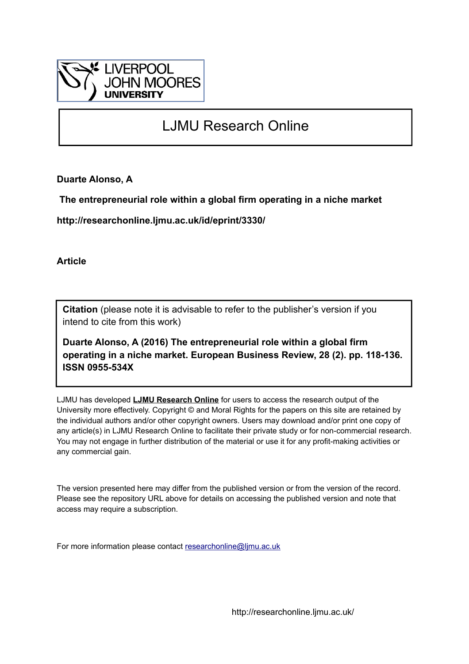

# LJMU Research Online

**Duarte Alonso, A**

 **The entrepreneurial role within a global firm operating in a niche market**

**http://researchonline.ljmu.ac.uk/id/eprint/3330/**

**Article**

**Citation** (please note it is advisable to refer to the publisher's version if you intend to cite from this work)

**Duarte Alonso, A (2016) The entrepreneurial role within a global firm operating in a niche market. European Business Review, 28 (2). pp. 118-136. ISSN 0955-534X** 

LJMU has developed **[LJMU Research Online](http://researchonline.ljmu.ac.uk/)** for users to access the research output of the University more effectively. Copyright © and Moral Rights for the papers on this site are retained by the individual authors and/or other copyright owners. Users may download and/or print one copy of any article(s) in LJMU Research Online to facilitate their private study or for non-commercial research. You may not engage in further distribution of the material or use it for any profit-making activities or any commercial gain.

The version presented here may differ from the published version or from the version of the record. Please see the repository URL above for details on accessing the published version and note that access may require a subscription.

For more information please contact [researchonline@ljmu.ac.uk](mailto:researchonline@ljmu.ac.uk)

http://researchonline.ljmu.ac.uk/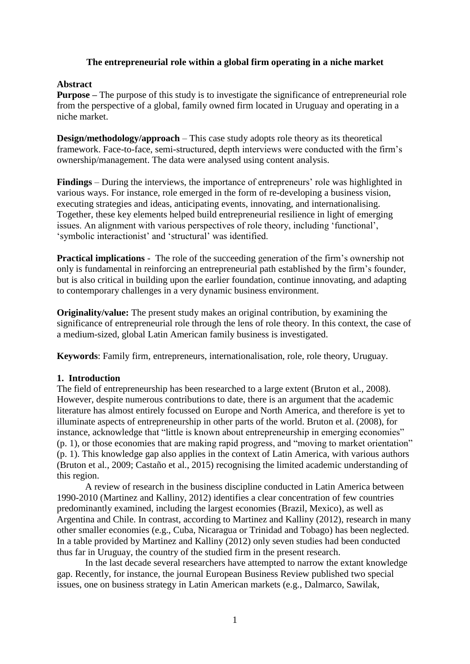# **The entrepreneurial role within a global firm operating in a niche market**

# **Abstract**

**Purpose –** The purpose of this study is to investigate the significance of entrepreneurial role from the perspective of a global, family owned firm located in Uruguay and operating in a niche market.

**Design/methodology/approach** – This case study adopts role theory as its theoretical framework. Face-to-face, semi-structured, depth interviews were conducted with the firm's ownership/management. The data were analysed using content analysis.

**Findings** – During the interviews, the importance of entrepreneurs' role was highlighted in various ways. For instance, role emerged in the form of re-developing a business vision, executing strategies and ideas, anticipating events, innovating, and internationalising. Together, these key elements helped build entrepreneurial resilience in light of emerging issues. An alignment with various perspectives of role theory, including 'functional', 'symbolic interactionist' and 'structural' was identified.

**Practical implications** - The role of the succeeding generation of the firm's ownership not only is fundamental in reinforcing an entrepreneurial path established by the firm's founder, but is also critical in building upon the earlier foundation, continue innovating, and adapting to contemporary challenges in a very dynamic business environment.

**Originality/value:** The present study makes an original contribution, by examining the significance of entrepreneurial role through the lens of role theory. In this context, the case of a medium-sized, global Latin American family business is investigated.

**Keywords**: Family firm, entrepreneurs, internationalisation, role, role theory, Uruguay.

# **1. Introduction**

The field of entrepreneurship has been researched to a large extent (Bruton et al., 2008). However, despite numerous contributions to date, there is an argument that the academic literature has almost entirely focussed on Europe and North America, and therefore is yet to illuminate aspects of entrepreneurship in other parts of the world. Bruton et al. (2008), for instance, acknowledge that "little is known about entrepreneurship in emerging economies" (p. 1), or those economies that are making rapid progress, and "moving to market orientation" (p. 1). This knowledge gap also applies in the context of Latin America, with various authors (Bruton et al., 2009; Castaño et al., 2015) recognising the limited academic understanding of this region.

A review of research in the business discipline conducted in Latin America between 1990-2010 (Martinez and Kalliny, 2012) identifies a clear concentration of few countries predominantly examined, including the largest economies (Brazil, Mexico), as well as Argentina and Chile. In contrast, according to Martinez and Kalliny (2012), research in many other smaller economies (e.g., Cuba, Nicaragua or Trinidad and Tobago) has been neglected. In a table provided by Martinez and Kalliny (2012) only seven studies had been conducted thus far in Uruguay, the country of the studied firm in the present research.

In the last decade several researchers have attempted to narrow the extant knowledge gap. Recently, for instance, the journal European Business Review published two special issues, one on business strategy in Latin American markets (e.g., Dalmarco, Sawilak,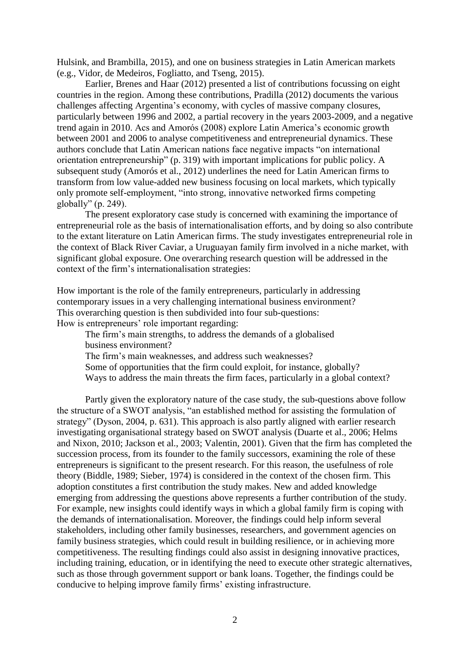Hulsink, and Brambilla, 2015), and one on business strategies in Latin American markets (e.g., Vidor, de Medeiros, Fogliatto, and Tseng, 2015).

Earlier, Brenes and Haar (2012) presented a list of contributions focussing on eight countries in the region. Among these contributions, Pradilla (2012) documents the various challenges affecting Argentina's economy, with cycles of massive company closures, particularly between 1996 and 2002, a partial recovery in the years 2003-2009, and a negative trend again in 2010. Acs and Amorós (2008) explore Latin America's economic growth between 2001 and 2006 to analyse competitiveness and entrepreneurial dynamics. These authors conclude that Latin American nations face negative impacts "on international orientation entrepreneurship" (p. 319) with important implications for public policy. A subsequent study (Amorós et al., 2012) underlines the need for Latin American firms to transform from low value-added new business focusing on local markets, which typically only promote self-employment, "into strong, innovative networked firms competing globally" (p. 249).

The present exploratory case study is concerned with examining the importance of entrepreneurial role as the basis of internationalisation efforts, and by doing so also contribute to the extant literature on Latin American firms. The study investigates entrepreneurial role in the context of Black River Caviar, a Uruguayan family firm involved in a niche market, with significant global exposure. One overarching research question will be addressed in the context of the firm's internationalisation strategies:

How important is the role of the family entrepreneurs, particularly in addressing contemporary issues in a very challenging international business environment? This overarching question is then subdivided into four sub-questions: How is entrepreneurs' role important regarding:

The firm's main strengths, to address the demands of a globalised business environment?

The firm's main weaknesses, and address such weaknesses?

Some of opportunities that the firm could exploit, for instance, globally?

Ways to address the main threats the firm faces, particularly in a global context?

Partly given the exploratory nature of the case study, the sub-questions above follow the structure of a SWOT analysis, "an established method for assisting the formulation of strategy" (Dyson, 2004, p. 631). This approach is also partly aligned with earlier research investigating organisational strategy based on SWOT analysis (Duarte et al., 2006; Helms and Nixon, 2010; Jackson et al., 2003; Valentin, 2001). Given that the firm has completed the succession process, from its founder to the family successors, examining the role of these entrepreneurs is significant to the present research. For this reason, the usefulness of role theory (Biddle, 1989; Sieber, 1974) is considered in the context of the chosen firm. This adoption constitutes a first contribution the study makes. New and added knowledge emerging from addressing the questions above represents a further contribution of the study. For example, new insights could identify ways in which a global family firm is coping with the demands of internationalisation. Moreover, the findings could help inform several stakeholders, including other family businesses, researchers, and government agencies on family business strategies, which could result in building resilience, or in achieving more competitiveness. The resulting findings could also assist in designing innovative practices, including training, education, or in identifying the need to execute other strategic alternatives, such as those through government support or bank loans. Together, the findings could be conducive to helping improve family firms' existing infrastructure.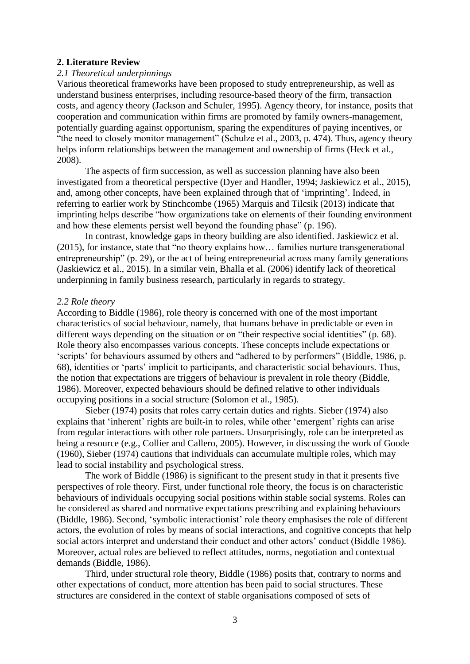## **2. Literature Review**

## *2.1 Theoretical underpinnings*

Various theoretical frameworks have been proposed to study entrepreneurship, as well as understand business enterprises, including resource-based theory of the firm, transaction costs, and agency theory (Jackson and Schuler, 1995). Agency theory, for instance, posits that cooperation and communication within firms are promoted by family owners-management, potentially guarding against opportunism, sparing the expenditures of paying incentives, or "the need to closely monitor management" (Schulze et al., 2003, p. 474). Thus, agency theory helps inform relationships between the management and ownership of firms (Heck et al., 2008).

The aspects of firm succession, as well as succession planning have also been investigated from a theoretical perspective (Dyer and Handler, 1994; Jaskiewicz et al., 2015), and, among other concepts, have been explained through that of 'imprinting'. Indeed, in referring to earlier work by Stinchcombe (1965) Marquis and Tilcsik (2013) indicate that imprinting helps describe "how organizations take on elements of their founding environment and how these elements persist well beyond the founding phase" (p. 196).

In contrast, knowledge gaps in theory building are also identified. Jaskiewicz et al. (2015), for instance, state that "no theory explains how… families nurture transgenerational entrepreneurship" (p. 29), or the act of being entrepreneurial across many family generations (Jaskiewicz et al., 2015). In a similar vein, Bhalla et al. (2006) identify lack of theoretical underpinning in family business research, particularly in regards to strategy.

## *2.2 Role theory*

According to Biddle (1986), role theory is concerned with one of the most important characteristics of social behaviour, namely, that humans behave in predictable or even in different ways depending on the situation or on "their respective social identities" (p. 68). Role theory also encompasses various concepts. These concepts include expectations or 'scripts' for behaviours assumed by others and "adhered to by performers" (Biddle, 1986, p. 68), identities or 'parts' implicit to participants, and characteristic social behaviours. Thus, the notion that expectations are triggers of behaviour is prevalent in role theory (Biddle, 1986). Moreover, expected behaviours should be defined relative to other individuals occupying positions in a social structure (Solomon et al., 1985).

Sieber (1974) posits that roles carry certain duties and rights. Sieber (1974) also explains that 'inherent' rights are built-in to roles, while other 'emergent' rights can arise from regular interactions with other role partners. Unsurprisingly, role can be interpreted as being a resource (e.g., Collier and Callero, 2005). However, in discussing the work of Goode (1960), Sieber (1974) cautions that individuals can accumulate multiple roles, which may lead to social instability and psychological stress.

The work of Biddle (1986) is significant to the present study in that it presents five perspectives of role theory. First, under functional role theory, the focus is on characteristic behaviours of individuals occupying social positions within stable social systems. Roles can be considered as shared and normative expectations prescribing and explaining behaviours (Biddle, 1986). Second, 'symbolic interactionist' role theory emphasises the role of different actors, the evolution of roles by means of social interactions, and cognitive concepts that help social actors interpret and understand their conduct and other actors' conduct (Biddle 1986). Moreover, actual roles are believed to reflect attitudes, norms, negotiation and contextual demands (Biddle, 1986).

Third, under structural role theory, Biddle (1986) posits that, contrary to norms and other expectations of conduct, more attention has been paid to social structures. These structures are considered in the context of stable organisations composed of sets of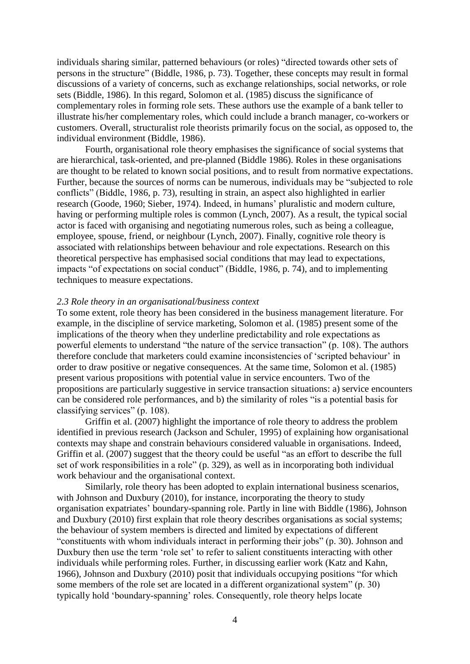individuals sharing similar, patterned behaviours (or roles) "directed towards other sets of persons in the structure" (Biddle, 1986, p. 73). Together, these concepts may result in formal discussions of a variety of concerns, such as exchange relationships, social networks, or role sets (Biddle, 1986). In this regard, Solomon et al. (1985) discuss the significance of complementary roles in forming role sets. These authors use the example of a bank teller to illustrate his/her complementary roles, which could include a branch manager, co-workers or customers. Overall, structuralist role theorists primarily focus on the social, as opposed to, the individual environment (Biddle, 1986).

Fourth, organisational role theory emphasises the significance of social systems that are hierarchical, task-oriented, and pre-planned (Biddle 1986). Roles in these organisations are thought to be related to known social positions, and to result from normative expectations. Further, because the sources of norms can be numerous, individuals may be "subjected to role conflicts" (Biddle, 1986, p. 73), resulting in strain, an aspect also highlighted in earlier research (Goode, 1960; Sieber, 1974). Indeed, in humans' pluralistic and modern culture, having or performing multiple roles is common (Lynch, 2007). As a result, the typical social actor is faced with organising and negotiating numerous roles, such as being a colleague, employee, spouse, friend, or neighbour (Lynch, 2007). Finally, cognitive role theory is associated with relationships between behaviour and role expectations. Research on this theoretical perspective has emphasised social conditions that may lead to expectations, impacts "of expectations on social conduct" (Biddle, 1986, p. 74), and to implementing techniques to measure expectations.

#### *2.3 Role theory in an organisational/business context*

To some extent, role theory has been considered in the business management literature. For example, in the discipline of service marketing, Solomon et al. (1985) present some of the implications of the theory when they underline predictability and role expectations as powerful elements to understand "the nature of the service transaction" (p. 108). The authors therefore conclude that marketers could examine inconsistencies of 'scripted behaviour' in order to draw positive or negative consequences. At the same time, Solomon et al. (1985) present various propositions with potential value in service encounters. Two of the propositions are particularly suggestive in service transaction situations: a) service encounters can be considered role performances, and b) the similarity of roles "is a potential basis for classifying services" (p. 108).

Griffin et al. (2007) highlight the importance of role theory to address the problem identified in previous research (Jackson and Schuler, 1995) of explaining how organisational contexts may shape and constrain behaviours considered valuable in organisations. Indeed, Griffin et al. (2007) suggest that the theory could be useful "as an effort to describe the full set of work responsibilities in a role" (p. 329), as well as in incorporating both individual work behaviour and the organisational context.

Similarly, role theory has been adopted to explain international business scenarios, with Johnson and Duxbury (2010), for instance, incorporating the theory to study organisation expatriates' boundary-spanning role. Partly in line with Biddle (1986), Johnson and Duxbury (2010) first explain that role theory describes organisations as social systems; the behaviour of system members is directed and limited by expectations of different "constituents with whom individuals interact in performing their jobs" (p. 30). Johnson and Duxbury then use the term 'role set' to refer to salient constituents interacting with other individuals while performing roles. Further, in discussing earlier work (Katz and Kahn, 1966), Johnson and Duxbury (2010) posit that individuals occupying positions "for which some members of the role set are located in a different organizational system" (p. 30) typically hold 'boundary-spanning' roles. Consequently, role theory helps locate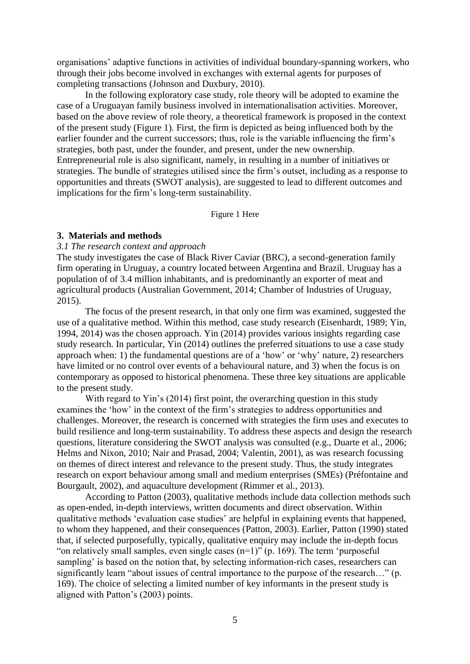organisations' adaptive functions in activities of individual boundary-spanning workers, who through their jobs become involved in exchanges with external agents for purposes of completing transactions (Johnson and Duxbury, 2010).

In the following exploratory case study, role theory will be adopted to examine the case of a Uruguayan family business involved in internationalisation activities. Moreover, based on the above review of role theory, a theoretical framework is proposed in the context of the present study (Figure 1). First, the firm is depicted as being influenced both by the earlier founder and the current successors; thus, role is the variable influencing the firm's strategies, both past, under the founder, and present, under the new ownership. Entrepreneurial role is also significant, namely, in resulting in a number of initiatives or strategies. The bundle of strategies utilised since the firm's outset, including as a response to opportunities and threats (SWOT analysis), are suggested to lead to different outcomes and implications for the firm's long-term sustainability.

Figure 1 Here

#### **3. Materials and methods**

#### *3.1 The research context and approach*

The study investigates the case of Black River Caviar (BRC), a second-generation family firm operating in Uruguay, a country located between Argentina and Brazil. Uruguay has a population of of 3.4 million inhabitants, and is predominantly an exporter of meat and agricultural products (Australian Government, 2014; Chamber of Industries of Uruguay, 2015).

The focus of the present research, in that only one firm was examined, suggested the use of a qualitative method. Within this method, case study research (Eisenhardt, 1989; Yin, 1994, 2014) was the chosen approach. Yin (2014) provides various insights regarding case study research. In particular, Yin (2014) outlines the preferred situations to use a case study approach when: 1) the fundamental questions are of a 'how' or 'why' nature, 2) researchers have limited or no control over events of a behavioural nature, and 3) when the focus is on contemporary as opposed to historical phenomena. These three key situations are applicable to the present study.

With regard to Yin's (2014) first point, the overarching question in this study examines the 'how' in the context of the firm's strategies to address opportunities and challenges. Moreover, the research is concerned with strategies the firm uses and executes to build resilience and long-term sustainability. To address these aspects and design the research questions, literature considering the SWOT analysis was consulted (e.g., Duarte et al., 2006; Helms and Nixon, 2010; Nair and Prasad, 2004; Valentin, 2001), as was research focussing on themes of direct interest and relevance to the present study. Thus, the study integrates research on export behaviour among small and medium enterprises (SMEs) (Préfontaine and Bourgault, 2002), and aquaculture development (Rimmer et al., 2013).

According to Patton (2003), qualitative methods include data collection methods such as open-ended, in-depth interviews, written documents and direct observation. Within qualitative methods 'evaluation case studies' are helpful in explaining events that happened, to whom they happened, and their consequences (Patton, 2003). Earlier, Patton (1990) stated that, if selected purposefully, typically, qualitative enquiry may include the in-depth focus "on relatively small samples, even single cases  $(n=1)$ " (p. 169). The term 'purposeful sampling' is based on the notion that, by selecting information-rich cases, researchers can significantly learn "about issues of central importance to the purpose of the research…" (p. 169). The choice of selecting a limited number of key informants in the present study is aligned with Patton's (2003) points.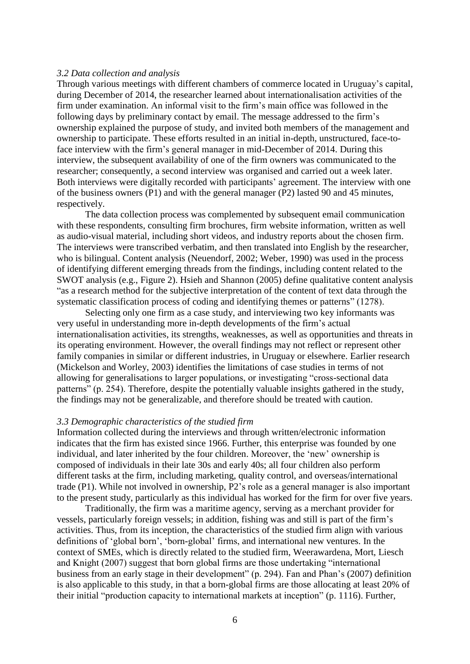#### *3.2 Data collection and analysis*

Through various meetings with different chambers of commerce located in Uruguay's capital, during December of 2014, the researcher learned about internationalisation activities of the firm under examination. An informal visit to the firm's main office was followed in the following days by preliminary contact by email. The message addressed to the firm's ownership explained the purpose of study, and invited both members of the management and ownership to participate. These efforts resulted in an initial in-depth, unstructured, face-toface interview with the firm's general manager in mid-December of 2014. During this interview, the subsequent availability of one of the firm owners was communicated to the researcher; consequently, a second interview was organised and carried out a week later. Both interviews were digitally recorded with participants' agreement. The interview with one of the business owners (P1) and with the general manager (P2) lasted 90 and 45 minutes, respectively.

The data collection process was complemented by subsequent email communication with these respondents, consulting firm brochures, firm website information, written as well as audio-visual material, including short videos, and industry reports about the chosen firm. The interviews were transcribed verbatim, and then translated into English by the researcher, who is bilingual. Content analysis (Neuendorf, 2002; Weber, 1990) was used in the process of identifying different emerging threads from the findings, including content related to the SWOT analysis (e.g., Figure 2). Hsieh and Shannon (2005) define qualitative content analysis "as a research method for the subjective interpretation of the content of text data through the systematic classification process of coding and identifying themes or patterns" (1278).

Selecting only one firm as a case study, and interviewing two key informants was very useful in understanding more in-depth developments of the firm's actual internationalisation activities, its strengths, weaknesses, as well as opportunities and threats in its operating environment. However, the overall findings may not reflect or represent other family companies in similar or different industries, in Uruguay or elsewhere. Earlier research (Mickelson and Worley, 2003) identifies the limitations of case studies in terms of not allowing for generalisations to larger populations, or investigating "cross-sectional data patterns" (p. 254). Therefore, despite the potentially valuable insights gathered in the study, the findings may not be generalizable, and therefore should be treated with caution.

#### *3.3 Demographic characteristics of the studied firm*

Information collected during the interviews and through written/electronic information indicates that the firm has existed since 1966. Further, this enterprise was founded by one individual, and later inherited by the four children. Moreover, the 'new' ownership is composed of individuals in their late 30s and early 40s; all four children also perform different tasks at the firm, including marketing, quality control, and overseas/international trade (P1). While not involved in ownership, P2's role as a general manager is also important to the present study, particularly as this individual has worked for the firm for over five years.

Traditionally, the firm was a maritime agency, serving as a merchant provider for vessels, particularly foreign vessels; in addition, fishing was and still is part of the firm's activities. Thus, from its inception, the characteristics of the studied firm align with various definitions of 'global born', 'born-global' firms, and international new ventures. In the context of SMEs, which is directly related to the studied firm, Weerawardena, Mort, Liesch and Knight (2007) suggest that born global firms are those undertaking "international business from an early stage in their development" (p. 294). Fan and Phan's (2007) definition is also applicable to this study, in that a born-global firms are those allocating at least 20% of their initial "production capacity to international markets at inception" (p. 1116). Further,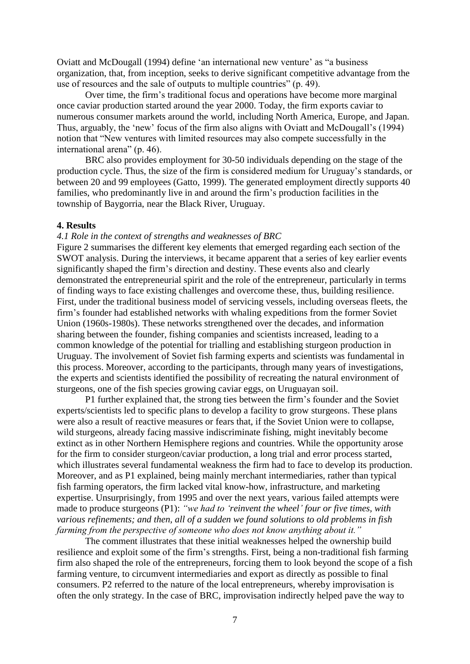Oviatt and McDougall (1994) define 'an international new venture' as "a business organization, that, from inception, seeks to derive significant competitive advantage from the use of resources and the sale of outputs to multiple countries" (p. 49).

Over time, the firm's traditional focus and operations have become more marginal once caviar production started around the year 2000. Today, the firm exports caviar to numerous consumer markets around the world, including North America, Europe, and Japan. Thus, arguably, the 'new' focus of the firm also aligns with Oviatt and McDougall's (1994) notion that "New ventures with limited resources may also compete successfully in the international arena" (p. 46).

BRC also provides employment for 30-50 individuals depending on the stage of the production cycle. Thus, the size of the firm is considered medium for Uruguay's standards, or between 20 and 99 employees (Gatto, 1999). The generated employment directly supports 40 families, who predominantly live in and around the firm's production facilities in the township of Baygorria, near the Black River, Uruguay.

### **4. Results**

#### *4.1 Role in the context of strengths and weaknesses of BRC*

Figure 2 summarises the different key elements that emerged regarding each section of the SWOT analysis. During the interviews, it became apparent that a series of key earlier events significantly shaped the firm's direction and destiny. These events also and clearly demonstrated the entrepreneurial spirit and the role of the entrepreneur, particularly in terms of finding ways to face existing challenges and overcome these, thus, building resilience. First, under the traditional business model of servicing vessels, including overseas fleets, the firm's founder had established networks with whaling expeditions from the former Soviet Union (1960s-1980s). These networks strengthened over the decades, and information sharing between the founder, fishing companies and scientists increased, leading to a common knowledge of the potential for trialling and establishing sturgeon production in Uruguay. The involvement of Soviet fish farming experts and scientists was fundamental in this process. Moreover, according to the participants, through many years of investigations, the experts and scientists identified the possibility of recreating the natural environment of sturgeons, one of the fish species growing caviar eggs, on Uruguayan soil.

P1 further explained that, the strong ties between the firm's founder and the Soviet experts/scientists led to specific plans to develop a facility to grow sturgeons. These plans were also a result of reactive measures or fears that, if the Soviet Union were to collapse, wild sturgeons, already facing massive indiscriminate fishing, might inevitably become extinct as in other Northern Hemisphere regions and countries. While the opportunity arose for the firm to consider sturgeon/caviar production, a long trial and error process started, which illustrates several fundamental weakness the firm had to face to develop its production. Moreover, and as P1 explained, being mainly merchant intermediaries, rather than typical fish farming operators, the firm lacked vital know-how, infrastructure, and marketing expertise. Unsurprisingly, from 1995 and over the next years, various failed attempts were made to produce sturgeons (P1): *"we had to 'reinvent the wheel' four or five times, with various refinements; and then, all of a sudden we found solutions to old problems in fish farming from the perspective of someone who does not know anything about it."*

The comment illustrates that these initial weaknesses helped the ownership build resilience and exploit some of the firm's strengths. First, being a non-traditional fish farming firm also shaped the role of the entrepreneurs, forcing them to look beyond the scope of a fish farming venture, to circumvent intermediaries and export as directly as possible to final consumers. P2 referred to the nature of the local entrepreneurs, whereby improvisation is often the only strategy. In the case of BRC, improvisation indirectly helped pave the way to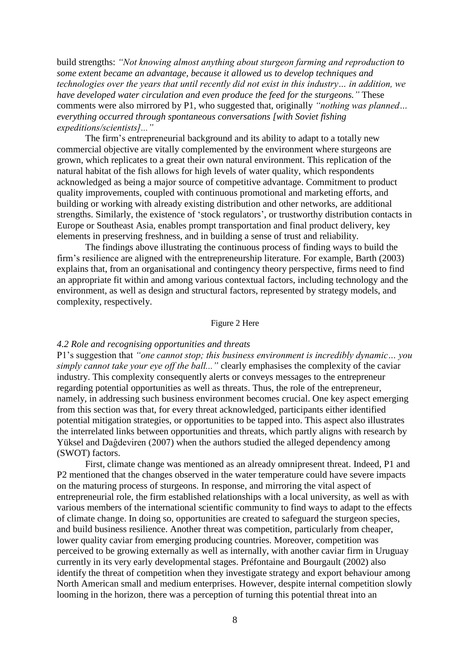build strengths: *"Not knowing almost anything about sturgeon farming and reproduction to some extent became an advantage, because it allowed us to develop techniques and technologies over the years that until recently did not exist in this industry… in addition, we have developed water circulation and even produce the feed for the sturgeons."* These comments were also mirrored by P1, who suggested that, originally *"nothing was planned… everything occurred through spontaneous conversations [with Soviet fishing expeditions/scientists]..."*

The firm's entrepreneurial background and its ability to adapt to a totally new commercial objective are vitally complemented by the environment where sturgeons are grown, which replicates to a great their own natural environment. This replication of the natural habitat of the fish allows for high levels of water quality, which respondents acknowledged as being a major source of competitive advantage. Commitment to product quality improvements, coupled with continuous promotional and marketing efforts, and building or working with already existing distribution and other networks, are additional strengths. Similarly, the existence of 'stock regulators', or trustworthy distribution contacts in Europe or Southeast Asia, enables prompt transportation and final product delivery, key elements in preserving freshness, and in building a sense of trust and reliability.

The findings above illustrating the continuous process of finding ways to build the firm's resilience are aligned with the entrepreneurship literature. For example, Barth (2003) explains that, from an organisational and contingency theory perspective, firms need to find an appropriate fit within and among various contextual factors, including technology and the environment, as well as design and structural factors, represented by strategy models, and complexity, respectively.

## Figure 2 Here

## *4.2 Role and recognising opportunities and threats*

P1's suggestion that *"one cannot stop; this business environment is incredibly dynamic… you simply cannot take your eye off the ball..."* clearly emphasises the complexity of the caviar industry. This complexity consequently alerts or conveys messages to the entrepreneur regarding potential opportunities as well as threats. Thus, the role of the entrepreneur, namely, in addressing such business environment becomes crucial. One key aspect emerging from this section was that, for every threat acknowledged, participants either identified potential mitigation strategies, or opportunities to be tapped into. This aspect also illustrates the interrelated links between opportunities and threats, which partly aligns with research by Yüksel and Daĝdeviren (2007) when the authors studied the alleged dependency among (SWOT) factors.

First, climate change was mentioned as an already omnipresent threat. Indeed, P1 and P2 mentioned that the changes observed in the water temperature could have severe impacts on the maturing process of sturgeons. In response, and mirroring the vital aspect of entrepreneurial role, the firm established relationships with a local university, as well as with various members of the international scientific community to find ways to adapt to the effects of climate change. In doing so, opportunities are created to safeguard the sturgeon species, and build business resilience. Another threat was competition, particularly from cheaper, lower quality caviar from emerging producing countries. Moreover, competition was perceived to be growing externally as well as internally, with another caviar firm in Uruguay currently in its very early developmental stages. Préfontaine and Bourgault (2002) also identify the threat of competition when they investigate strategy and export behaviour among North American small and medium enterprises. However, despite internal competition slowly looming in the horizon, there was a perception of turning this potential threat into an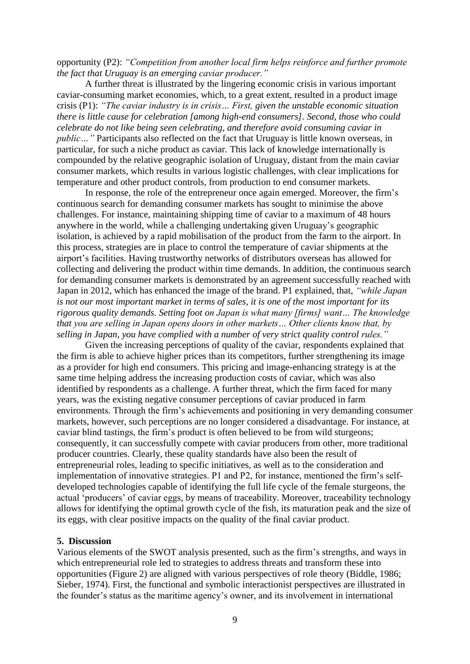opportunity (P2): *"Competition from another local firm helps reinforce and further promote the fact that Uruguay is an emerging caviar producer."*

A further threat is illustrated by the lingering economic crisis in various important caviar-consuming market economies, which, to a great extent, resulted in a product image crisis (P1): *"The caviar industry is in crisis… First, given the unstable economic situation there is little cause for celebration [among high-end consumers]. Second, those who could celebrate do not like being seen celebrating, and therefore avoid consuming caviar in public*..." Participants also reflected on the fact that Uruguay is little known overseas, in particular, for such a niche product as caviar. This lack of knowledge internationally is compounded by the relative geographic isolation of Uruguay, distant from the main caviar consumer markets, which results in various logistic challenges, with clear implications for temperature and other product controls, from production to end consumer markets.

In response, the role of the entrepreneur once again emerged. Moreover, the firm's continuous search for demanding consumer markets has sought to minimise the above challenges. For instance, maintaining shipping time of caviar to a maximum of 48 hours anywhere in the world, while a challenging undertaking given Uruguay's geographic isolation, is achieved by a rapid mobilisation of the product from the farm to the airport. In this process, strategies are in place to control the temperature of caviar shipments at the airport's facilities. Having trustworthy networks of distributors overseas has allowed for collecting and delivering the product within time demands. In addition, the continuous search for demanding consumer markets is demonstrated by an agreement successfully reached with Japan in 2012, which has enhanced the image of the brand. P1 explained, that, *"while Japan is not our most important market in terms of sales, it is one of the most important for its rigorous quality demands. Setting foot on Japan is what many [firms] want… The knowledge that you are selling in Japan opens doors in other markets… Other clients know that, by selling in Japan, you have complied with a number of very strict quality control rules."*

Given the increasing perceptions of quality of the caviar, respondents explained that the firm is able to achieve higher prices than its competitors, further strengthening its image as a provider for high end consumers. This pricing and image-enhancing strategy is at the same time helping address the increasing production costs of caviar, which was also identified by respondents as a challenge. A further threat, which the firm faced for many years, was the existing negative consumer perceptions of caviar produced in farm environments. Through the firm's achievements and positioning in very demanding consumer markets, however, such perceptions are no longer considered a disadvantage. For instance, at caviar blind tastings, the firm's product is often believed to be from wild sturgeons; consequently, it can successfully compete with caviar producers from other, more traditional producer countries. Clearly, these quality standards have also been the result of entrepreneurial roles, leading to specific initiatives, as well as to the consideration and implementation of innovative strategies. P1 and P2, for instance, mentioned the firm's selfdeveloped technologies capable of identifying the full life cycle of the female sturgeons, the actual 'producers' of caviar eggs, by means of traceability. Moreover, traceability technology allows for identifying the optimal growth cycle of the fish, its maturation peak and the size of its eggs, with clear positive impacts on the quality of the final caviar product.

## **5. Discussion**

Various elements of the SWOT analysis presented, such as the firm's strengths, and ways in which entrepreneurial role led to strategies to address threats and transform these into opportunities (Figure 2) are aligned with various perspectives of role theory (Biddle, 1986; Sieber, 1974). First, the functional and symbolic interactionist perspectives are illustrated in the founder's status as the maritime agency's owner, and its involvement in international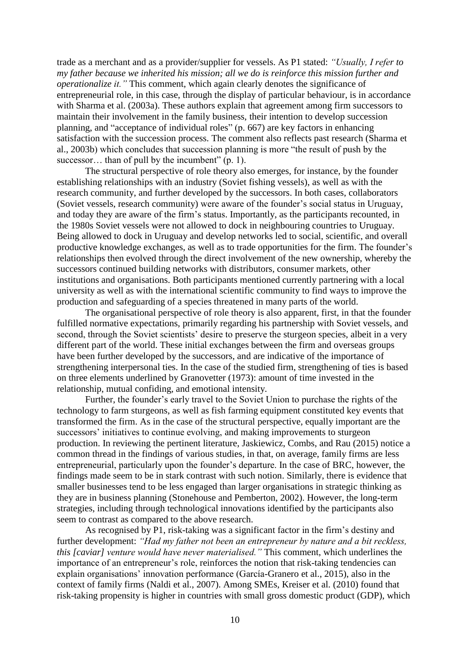trade as a merchant and as a provider/supplier for vessels. As P1 stated: *"Usually, I refer to my father because we inherited his mission; all we do is reinforce this mission further and operationalize it."* This comment, which again clearly denotes the significance of entrepreneurial role, in this case, through the display of particular behaviour, is in accordance with Sharma et al. (2003a). These authors explain that agreement among firm successors to maintain their involvement in the family business, their intention to develop succession planning, and "acceptance of individual roles" (p. 667) are key factors in enhancing satisfaction with the succession process. The comment also reflects past research (Sharma et al., 2003b) which concludes that succession planning is more "the result of push by the successor... than of pull by the incumbent" (p. 1).

The structural perspective of role theory also emerges, for instance, by the founder establishing relationships with an industry (Soviet fishing vessels), as well as with the research community, and further developed by the successors. In both cases, collaborators (Soviet vessels, research community) were aware of the founder's social status in Uruguay, and today they are aware of the firm's status. Importantly, as the participants recounted, in the 1980s Soviet vessels were not allowed to dock in neighbouring countries to Uruguay. Being allowed to dock in Uruguay and develop networks led to social, scientific, and overall productive knowledge exchanges, as well as to trade opportunities for the firm. The founder's relationships then evolved through the direct involvement of the new ownership, whereby the successors continued building networks with distributors, consumer markets, other institutions and organisations. Both participants mentioned currently partnering with a local university as well as with the international scientific community to find ways to improve the production and safeguarding of a species threatened in many parts of the world.

The organisational perspective of role theory is also apparent, first, in that the founder fulfilled normative expectations, primarily regarding his partnership with Soviet vessels, and second, through the Soviet scientists' desire to preserve the sturgeon species, albeit in a very different part of the world. These initial exchanges between the firm and overseas groups have been further developed by the successors, and are indicative of the importance of strengthening interpersonal ties. In the case of the studied firm, strengthening of ties is based on three elements underlined by Granovetter (1973): amount of time invested in the relationship, mutual confiding, and emotional intensity.

Further, the founder's early travel to the Soviet Union to purchase the rights of the technology to farm sturgeons, as well as fish farming equipment constituted key events that transformed the firm. As in the case of the structural perspective, equally important are the successors' initiatives to continue evolving, and making improvements to sturgeon production. In reviewing the pertinent literature, Jaskiewicz, Combs, and Rau (2015) notice a common thread in the findings of various studies, in that, on average, family firms are less entrepreneurial, particularly upon the founder's departure. In the case of BRC, however, the findings made seem to be in stark contrast with such notion. Similarly, there is evidence that smaller businesses tend to be less engaged than larger organisations in strategic thinking as they are in business planning (Stonehouse and Pemberton, 2002). However, the long-term strategies, including through technological innovations identified by the participants also seem to contrast as compared to the above research.

As recognised by P1, risk-taking was a significant factor in the firm's destiny and further development: *"Had my father not been an entrepreneur by nature and a bit reckless, this [caviar] venture would have never materialised."* This comment, which underlines the importance of an entrepreneur's role, reinforces the notion that risk-taking tendencies can explain organisations' innovation performance (García-Granero et al., 2015), also in the context of family firms (Naldi et al., 2007). Among SMEs, Kreiser et al. (2010) found that risk-taking propensity is higher in countries with small gross domestic product (GDP), which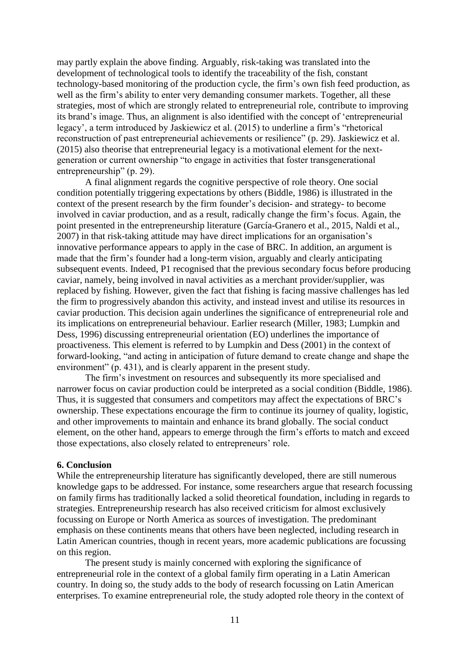may partly explain the above finding. Arguably, risk-taking was translated into the development of technological tools to identify the traceability of the fish, constant technology-based monitoring of the production cycle, the firm's own fish feed production, as well as the firm's ability to enter very demanding consumer markets. Together, all these strategies, most of which are strongly related to entrepreneurial role, contribute to improving its brand's image. Thus, an alignment is also identified with the concept of 'entrepreneurial legacy', a term introduced by Jaskiewicz et al. (2015) to underline a firm's "rhetorical reconstruction of past entrepreneurial achievements or resilience" (p. 29). Jaskiewicz et al. (2015) also theorise that entrepreneurial legacy is a motivational element for the nextgeneration or current ownership "to engage in activities that foster transgenerational entrepreneurship" (p. 29).

A final alignment regards the cognitive perspective of role theory. One social condition potentially triggering expectations by others (Biddle, 1986) is illustrated in the context of the present research by the firm founder's decision- and strategy- to become involved in caviar production, and as a result, radically change the firm's focus. Again, the point presented in the entrepreneurship literature (García-Granero et al., 2015, Naldi et al., 2007) in that risk-taking attitude may have direct implications for an organisation's innovative performance appears to apply in the case of BRC. In addition, an argument is made that the firm's founder had a long-term vision, arguably and clearly anticipating subsequent events. Indeed, P1 recognised that the previous secondary focus before producing caviar, namely, being involved in naval activities as a merchant provider/supplier, was replaced by fishing. However, given the fact that fishing is facing massive challenges has led the firm to progressively abandon this activity, and instead invest and utilise its resources in caviar production. This decision again underlines the significance of entrepreneurial role and its implications on entrepreneurial behaviour. Earlier research (Miller, 1983; Lumpkin and Dess, 1996) discussing entrepreneurial orientation (EO) underlines the importance of proactiveness. This element is referred to by Lumpkin and Dess (2001) in the context of forward-looking, "and acting in anticipation of future demand to create change and shape the environment" (p. 431), and is clearly apparent in the present study.

The firm's investment on resources and subsequently its more specialised and narrower focus on caviar production could be interpreted as a social condition (Biddle, 1986). Thus, it is suggested that consumers and competitors may affect the expectations of BRC's ownership. These expectations encourage the firm to continue its journey of quality, logistic, and other improvements to maintain and enhance its brand globally. The social conduct element, on the other hand, appears to emerge through the firm's efforts to match and exceed those expectations, also closely related to entrepreneurs' role.

## **6. Conclusion**

While the entrepreneurship literature has significantly developed, there are still numerous knowledge gaps to be addressed. For instance, some researchers argue that research focussing on family firms has traditionally lacked a solid theoretical foundation, including in regards to strategies. Entrepreneurship research has also received criticism for almost exclusively focussing on Europe or North America as sources of investigation. The predominant emphasis on these continents means that others have been neglected, including research in Latin American countries, though in recent years, more academic publications are focussing on this region.

The present study is mainly concerned with exploring the significance of entrepreneurial role in the context of a global family firm operating in a Latin American country. In doing so, the study adds to the body of research focussing on Latin American enterprises. To examine entrepreneurial role, the study adopted role theory in the context of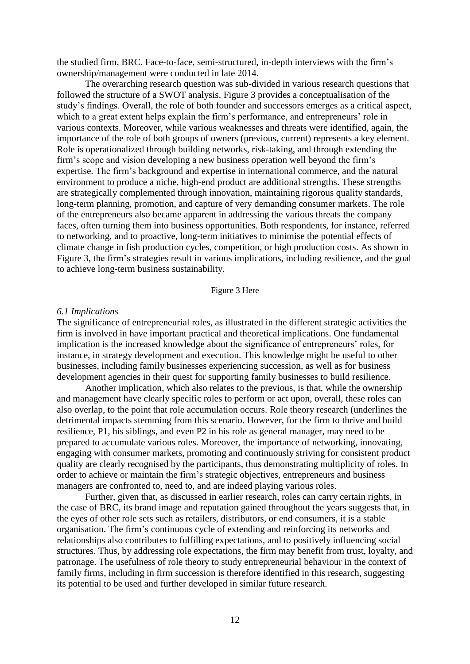the studied firm, BRC. Face-to-face, semi-structured, in-depth interviews with the firm's ownership/management were conducted in late 2014.

The overarching research question was sub-divided in various research questions that followed the structure of a SWOT analysis. Figure 3 provides a conceptualisation of the study's findings. Overall, the role of both founder and successors emerges as a critical aspect, which to a great extent helps explain the firm's performance, and entrepreneurs' role in various contexts. Moreover, while various weaknesses and threats were identified, again, the importance of the role of both groups of owners (previous, current) represents a key element. Role is operationalized through building networks, risk-taking, and through extending the firm's scope and vision developing a new business operation well beyond the firm's expertise. The firm's background and expertise in international commerce, and the natural environment to produce a niche, high-end product are additional strengths. These strengths are strategically complemented through innovation, maintaining rigorous quality standards, long-term planning, promotion, and capture of very demanding consumer markets. The role of the entrepreneurs also became apparent in addressing the various threats the company faces, often turning them into business opportunities. Both respondents, for instance, referred to networking, and to proactive, long-term initiatives to minimise the potential effects of climate change in fish production cycles, competition, or high production costs. As shown in Figure 3, the firm's strategies result in various implications, including resilience, and the goal to achieve long-term business sustainability.

#### Figure 3 Here

#### *6.1 Implications*

The significance of entrepreneurial roles, as illustrated in the different strategic activities the firm is involved in have important practical and theoretical implications. One fundamental implication is the increased knowledge about the significance of entrepreneurs' roles, for instance, in strategy development and execution. This knowledge might be useful to other businesses, including family businesses experiencing succession, as well as for business development agencies in their quest for supporting family businesses to build resilience.

Another implication, which also relates to the previous, is that, while the ownership and management have clearly specific roles to perform or act upon, overall, these roles can also overlap, to the point that role accumulation occurs. Role theory research (underlines the detrimental impacts stemming from this scenario. However, for the firm to thrive and build resilience, P1, his siblings, and even P2 in his role as general manager, may need to be prepared to accumulate various roles. Moreover, the importance of networking, innovating, engaging with consumer markets, promoting and continuously striving for consistent product quality are clearly recognised by the participants, thus demonstrating multiplicity of roles. In order to achieve or maintain the firm's strategic objectives, entrepreneurs and business managers are confronted to, need to, and are indeed playing various roles.

Further, given that, as discussed in earlier research, roles can carry certain rights, in the case of BRC, its brand image and reputation gained throughout the years suggests that, in the eyes of other role sets such as retailers, distributors, or end consumers, it is a stable organisation. The firm's continuous cycle of extending and reinforcing its networks and relationships also contributes to fulfilling expectations, and to positively influencing social structures. Thus, by addressing role expectations, the firm may benefit from trust, loyalty, and patronage. The usefulness of role theory to study entrepreneurial behaviour in the context of family firms, including in firm succession is therefore identified in this research, suggesting its potential to be used and further developed in similar future research.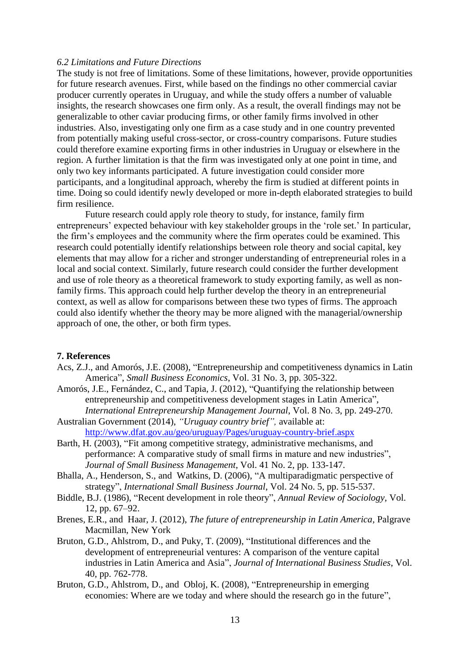### *6.2 Limitations and Future Directions*

The study is not free of limitations. Some of these limitations, however, provide opportunities for future research avenues. First, while based on the findings no other commercial caviar producer currently operates in Uruguay, and while the study offers a number of valuable insights, the research showcases one firm only. As a result, the overall findings may not be generalizable to other caviar producing firms, or other family firms involved in other industries. Also, investigating only one firm as a case study and in one country prevented from potentially making useful cross-sector, or cross-country comparisons. Future studies could therefore examine exporting firms in other industries in Uruguay or elsewhere in the region. A further limitation is that the firm was investigated only at one point in time, and only two key informants participated. A future investigation could consider more participants, and a longitudinal approach, whereby the firm is studied at different points in time. Doing so could identify newly developed or more in-depth elaborated strategies to build firm resilience.

Future research could apply role theory to study, for instance, family firm entrepreneurs' expected behaviour with key stakeholder groups in the 'role set.' In particular, the firm's employees and the community where the firm operates could be examined. This research could potentially identify relationships between role theory and social capital, key elements that may allow for a richer and stronger understanding of entrepreneurial roles in a local and social context. Similarly, future research could consider the further development and use of role theory as a theoretical framework to study exporting family, as well as nonfamily firms. This approach could help further develop the theory in an entrepreneurial context, as well as allow for comparisons between these two types of firms. The approach could also identify whether the theory may be more aligned with the managerial/ownership approach of one, the other, or both firm types.

#### **7. References**

- Acs, Z.J., and Amorós, J.E. (2008), "Entrepreneurship and competitiveness dynamics in Latin America", *Small Business Economics*, Vol. 31 No. 3, pp. 305-322.
- Amorós, J.E., Fernández, C., and Tapia, J. (2012), "Quantifying the relationship between entrepreneurship and competitiveness development stages in Latin America", *International Entrepreneurship Management Journal*, Vol. 8 No. 3, pp. 249-270.
- Australian Government (2014), *"Uruguay country brief",* available at: <http://www.dfat.gov.au/geo/uruguay/Pages/uruguay-country-brief.aspx>
- Barth, H. (2003), "Fit among competitive strategy, administrative mechanisms, and performance: A comparative study of small firms in mature and new industries", *Journal of Small Business Management*, Vol. 41 No. 2, pp. 133-147.
- Bhalla, A., Henderson, S., and Watkins, D. (2006), "A multiparadigmatic perspective of strategy", *International Small Business Journal*, Vol. 24 No. 5, pp. 515-537.
- Biddle, B.J. (1986), "Recent development in role theory", *Annual Review of Sociology*, Vol. 12, pp. 67–92.
- Brenes, E.R., and Haar, J. (2012), *The future of entrepreneurship in Latin America,* Palgrave Macmillan, New York
- Bruton, G.D., Ahlstrom, D., and Puky, T. (2009), "Institutional differences and the development of entrepreneurial ventures: A comparison of the venture capital industries in Latin America and Asia", *Journal of International Business Studies*, Vol. 40, pp. 762-778.
- Bruton, G.D., Ahlstrom, D., and Obloj, K. (2008), "Entrepreneurship in emerging economies: Where are we today and where should the research go in the future",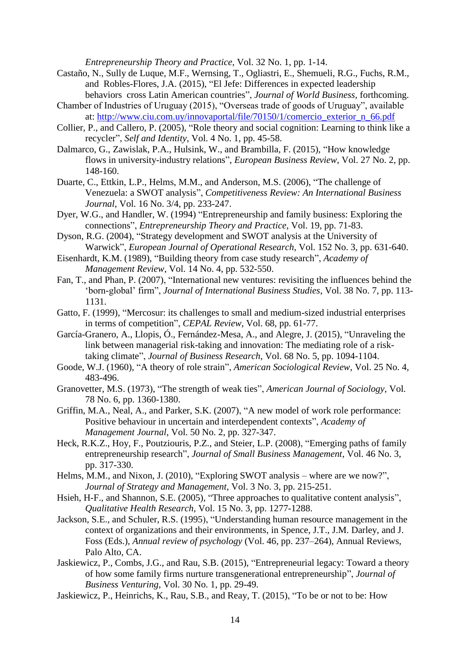*Entrepreneurship Theory and Practice*, Vol. 32 No. 1, pp. 1-14.

- Castaño, N., Sully de Luque, M.F., Wernsing, T., Ogliastri, E., Shemueli, R.G., Fuchs, R.M., and Robles-Flores, J.A. (2015), "El Jefe: Differences in expected leadership behaviors cross Latin American countries", *Journal of World Business*, forthcoming.
- Chamber of Industries of Uruguay (2015), "Overseas trade of goods of Uruguay", available at: [http://www.ciu.com.uy/innovaportal/file/70150/1/comercio\\_exterior\\_n\\_66.pdf](http://www.ciu.com.uy/innovaportal/file/70150/1/comercio_exterior_n_66.pdf)
- Collier, P., and Callero, P. (2005), "Role theory and social cognition: Learning to think like a recycler", *Self and Identity*, Vol. 4 No. 1, pp. 45-58.
- Dalmarco, G., Zawislak, P.A., Hulsink, W., and Brambilla, F. (2015), "How knowledge flows in university-industry relations", *European Business Review*, Vol. 27 No. 2, pp. 148-160.
- Duarte, C., Ettkin, L.P., Helms, M.M., and Anderson, M.S. (2006), "The challenge of Venezuela: a SWOT analysis", *Competitiveness Review: An International Business Journal*, Vol. 16 No. 3/4, pp. 233-247.
- Dyer, W.G., and Handler, W. (1994) "Entrepreneurship and family business: Exploring the connections", *Entrepreneurship Theory and Practice*, Vol. 19, pp. 71-83.
- Dyson, R.G. (2004), "Strategy development and SWOT analysis at the University of Warwick", *European Journal of Operational Research*, Vol. 152 No. 3, pp. 631-640.
- Eisenhardt, K.M. (1989), "Building theory from case study research", *Academy of Management Review*, Vol. 14 No. 4, pp. 532-550.
- Fan, T., and Phan, P. (2007), "International new ventures: revisiting the influences behind the 'born-global' firm", *Journal of International Business Studies*, Vol. 38 No. 7, pp. 113- 1131.
- Gatto, F. (1999), "Mercosur: its challenges to small and medium-sized industrial enterprises in terms of competition", *CEPAL Review*, Vol. 68, pp. 61-77.
- García-Granero, A., Llopis, Ó., Fernández-Mesa, A., and Alegre, J. (2015), "Unraveling the link between managerial risk-taking and innovation: The mediating role of a risktaking climate", *Journal of Business Research*, Vol. 68 No. 5, pp. 1094-1104.
- Goode, W.J. (1960), "A theory of role strain", *American Sociological Review*, Vol. 25 No. 4, 483-496.
- Granovetter, M.S. (1973), "The strength of weak ties", *American Journal of Sociology*, Vol. 78 No. 6, pp. 1360-1380.
- Griffin, M.A., Neal, A., and Parker, S.K. (2007), "A new model of work role performance: Positive behaviour in uncertain and interdependent contexts", *Academy of Management Journal*, Vol. 50 No. 2, pp. 327-347.
- Heck, R.K.Z., Hoy, F., Poutziouris, P.Z., and Steier, L.P. (2008), "Emerging paths of family entrepreneurship research", *Journal of Small Business Management*, Vol. 46 No. 3, pp. 317-330.
- Helms, M.M., and Nixon, J. (2010), "Exploring SWOT analysis where are we now?", *Journal of Strategy and Management*, Vol. 3 No. 3, pp. 215-251.
- Hsieh, H-F., and Shannon, S.E. (2005), "Three approaches to qualitative content analysis", *Qualitative Health Research*, Vol. 15 No. 3, pp. 1277-1288.
- Jackson, S.E., and Schuler, R.S. (1995), "Understanding human resource management in the context of organizations and their environments, in Spence, J.T., J.M. Darley, and J. Foss (Eds.), *Annual review of psychology* (Vol. 46, pp. 237–264), Annual Reviews, Palo Alto, CA.
- Jaskiewicz, P., Combs, J.G., and Rau, S.B. (2015), "Entrepreneurial legacy: Toward a theory of how some family firms nurture transgenerational entrepreneurship", *Journal of Business Venturing*, Vol. 30 No. 1, pp. 29-49.
- Jaskiewicz, P., Heinrichs, K., Rau, S.B., and Reay, T. (2015), "To be or not to be: How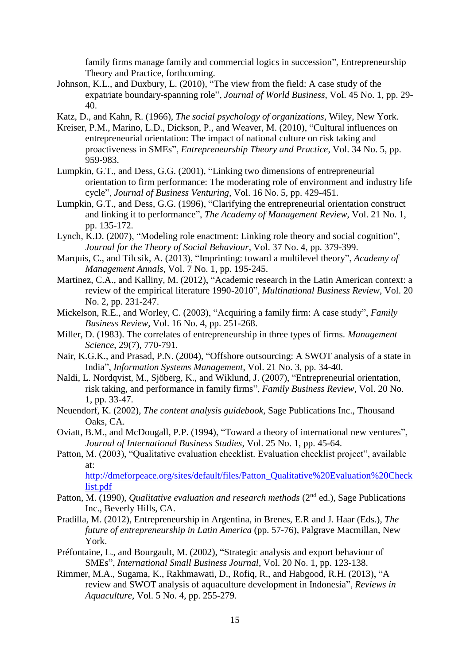family firms manage family and commercial logics in succession", Entrepreneurship Theory and Practice, forthcoming.

Johnson, K.L., and Duxbury, L. (2010), "The view from the field: A case study of the expatriate boundary-spanning role", *Journal of World Business*, Vol. 45 No. 1, pp. 29- 40.

Katz, D., and Kahn, R. (1966), *The social psychology of organizations,* Wiley, New York.

- Kreiser, P.M., Marino, L.D., Dickson, P., and Weaver, M. (2010), "Cultural influences on entrepreneurial orientation: The impact of national culture on risk taking and proactiveness in SMEs", *Entrepreneurship Theory and Practice*, Vol. 34 No. 5, pp. 959-983.
- Lumpkin, G.T., and Dess, G.G. (2001), "Linking two dimensions of entrepreneurial orientation to firm performance: The moderating role of environment and industry life cycle", *Journal of Business Venturing*, Vol. 16 No. 5, pp. 429-451.
- Lumpkin, G.T., and Dess, G.G. (1996), "Clarifying the entrepreneurial orientation construct and linking it to performance", *The Academy of Management Review*, Vol. 21 No. 1, pp. 135-172.
- Lynch, K.D. (2007), "Modeling role enactment: Linking role theory and social cognition", *Journal for the Theory of Social Behaviour*, Vol. 37 No. 4, pp. 379-399.
- Marquis, C., and Tilcsik, A. (2013), "Imprinting: toward a multilevel theory", *Academy of Management Annals*, Vol. 7 No. 1, pp. 195-245.
- Martinez, C.A., and Kalliny, M. (2012), "Academic research in the Latin American context: a review of the empirical literature 1990-2010", *Multinational Business Review*, Vol. 20 No. 2, pp. 231-247.
- Mickelson, R.E., and Worley, C. (2003), "Acquiring a family firm: A case study", *Family Business Review*, Vol. 16 No. 4, pp. 251-268.
- Miller, D. (1983). The correlates of entrepreneurship in three types of firms. *Management Science*, 29(7), 770-791.
- Nair, K.G.K., and Prasad, P.N. (2004), "Offshore outsourcing: A SWOT analysis of a state in India", *Information Systems Management*, Vol. 21 No. 3, pp. 34-40.
- Naldi, L. Nordqvist, M., Sjöberg, K., and Wiklund, J. (2007), "Entrepreneurial orientation, risk taking, and performance in family firms", *Family Business Review*, Vol. 20 No. 1, pp. 33-47.
- Neuendorf, K. (2002), *The content analysis guidebook*, Sage Publications Inc., Thousand Oaks, CA.
- Oviatt, B.M., and McDougall, P.P. (1994), "Toward a theory of international new ventures", *Journal of International Business Studies*, Vol. 25 No. 1, pp. 45-64.
- Patton, M. (2003), "Qualitative evaluation checklist. Evaluation checklist project", available at:

[http://dmeforpeace.org/sites/default/files/Patton\\_Qualitative%20Evaluation%20Check](http://dmeforpeace.org/sites/default/files/Patton_Qualitative%20Evaluation%20Checklist.pdf) [list.pdf](http://dmeforpeace.org/sites/default/files/Patton_Qualitative%20Evaluation%20Checklist.pdf)

- Patton, M. (1990), *Qualitative evaluation and research methods* (2<sup>nd</sup> ed.), Sage Publications Inc., Beverly Hills, CA.
- Pradilla, M. (2012), Entrepreneurship in Argentina, in Brenes, E.R and J. Haar (Eds.), *The future of entrepreneurship in Latin America* (pp. 57-76), Palgrave Macmillan, New York.
- Préfontaine, L., and Bourgault, M. (2002), "Strategic analysis and export behaviour of SMEs", *International Small Business Journal*, Vol. 20 No. 1, pp. 123-138.
- Rimmer, M.A., Sugama, K., Rakhmawati, D., Rofiq, R., and Habgood, R.H. (2013), "A review and SWOT analysis of aquaculture development in Indonesia", *Reviews in Aquaculture*, Vol. 5 No. 4, pp. 255-279.